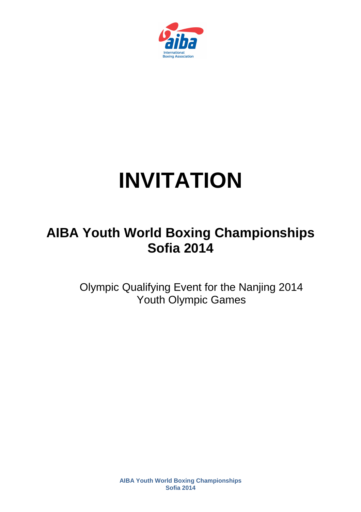

# **INVITATION**

# **AIBA Youth World Boxing Championships Sofia 2014**

Olympic Qualifying Event for the Nanjing 2014 Youth Olympic Games

> **AIBA Youth World Boxing Championships Sofia 2014**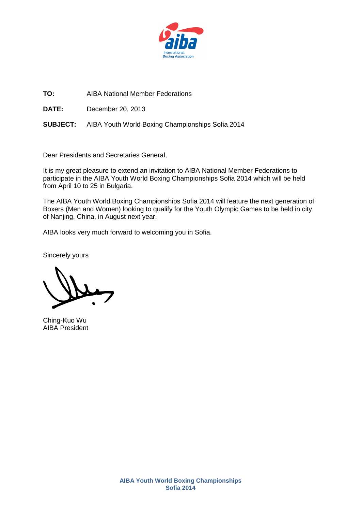

**TO:** AIBA National Member Federations

**DATE:** December 20, 2013

**SUBJECT:** AIBA Youth World Boxing Championships Sofia 2014

Dear Presidents and Secretaries General,

It is my great pleasure to extend an invitation to AIBA National Member Federations to participate in the AIBA Youth World Boxing Championships Sofia 2014 which will be held from April 10 to 25 in Bulgaria.

The AIBA Youth World Boxing Championships Sofia 2014 will feature the next generation of Boxers (Men and Women) looking to qualify for the Youth Olympic Games to be held in city of Nanjing, China, in August next year.

AIBA looks very much forward to welcoming you in Sofia.

Sincerely yours

Ching-Kuo Wu AIBA President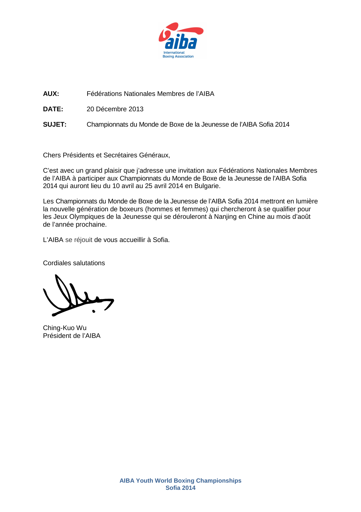

**AUX:** Fédérations Nationales Membres de l'AIBA

**DATE:** 20 Décembre 2013

**SUJET:** Championnats du Monde de Boxe de la Jeunesse de l'AIBA Sofia 2014

Chers Présidents et Secrétaires Généraux,

C'est avec un grand plaisir que j'adresse une invitation aux Fédérations Nationales Membres de l'AIBA à participer aux Championnats du Monde de Boxe de la Jeunesse de l'AIBA Sofia 2014 qui auront lieu du 10 avril au 25 avril 2014 en Bulgarie.

Les Championnats du Monde de Boxe de la Jeunesse de l'AIBA Sofia 2014 mettront en lumière la nouvelle génération de boxeurs (hommes et femmes) qui chercheront à se qualifier pour les Jeux Olympiques de la Jeunesse qui se dérouleront à Nanjing en Chine au mois d'août de l'année prochaine.

L'AIBA se réjouit de vous accueillir à Sofia.

Cordiales salutations

Ching-Kuo Wu Président de l'AIBA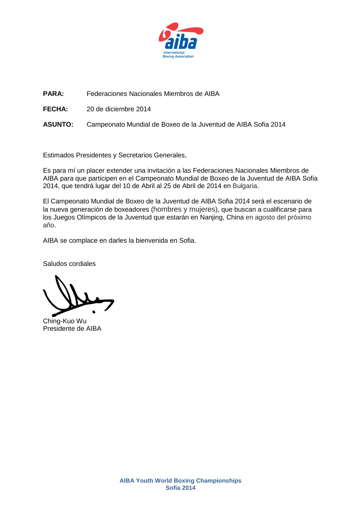

**PARA:** Federaciones Nacionales Miembros de AIBA

**FECHA:** 20 de diciembre 2014

**ASUNTO:** Campeonato Mundial de Boxeo de la Juventud de AIBA Sofia 2014

Estimados Presidentes y Secretarios Generales,

Es para mí un placer extender una invitación a las Federaciones Nacionales Miembros de AIBA para que participen en el Campeonato Mundial de Boxeo de la Juventud de AIBA Sofia 2014, que tendrá lugar del 10 de Abril al 25 de Abril de 2014 en Bulgaria.

El Campeonato Mundial de Boxeo de la Juventud de AIBA Sofia 2014 será el escenario de la nueva generación de boxeadores (hombres y mujeres), que buscan a cualificarse para los Juegos Olímpicos de la Juventud que estarán en Nanjing, China en agosto del próximo año.

AIBA se complace en darles la bienvenida en Sofia.

Saludos cordiales

Ching-Kuo Wu Presidente de AIBA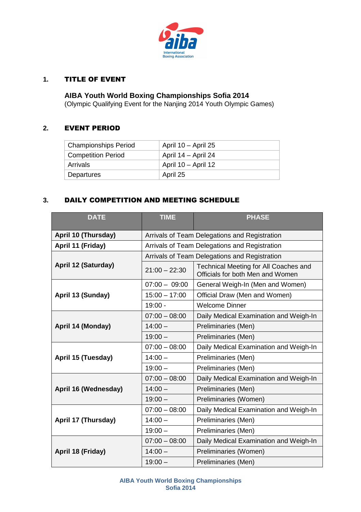

# **1.** TITLE OF EVENT

**AIBA Youth World Boxing Championships Sofia 2014**  (Olympic Qualifying Event for the Nanjing 2014 Youth Olympic Games)

#### **2.** EVENT PERIOD

| <b>Championships Period</b> | April 10 - April 25 |
|-----------------------------|---------------------|
| <b>Competition Period</b>   | April 14 – April 24 |
| Arrivals                    | April 10 - April 12 |
| Departures                  | April 25            |

# **3.** DAILY COMPETITION AND MEETING SCHEDULE

| <b>DATE</b>                | <b>TIME</b>                                   | <b>PHASE</b>                                                              |  |
|----------------------------|-----------------------------------------------|---------------------------------------------------------------------------|--|
| April 10 (Thursday)        | Arrivals of Team Delegations and Registration |                                                                           |  |
| April 11 (Friday)          |                                               | Arrivals of Team Delegations and Registration                             |  |
|                            | Arrivals of Team Delegations and Registration |                                                                           |  |
| <b>April 12 (Saturday)</b> | $21:00 - 22:30$                               | Technical Meeting for All Coaches and<br>Officials for both Men and Women |  |
| April 13 (Sunday)          | $07:00 - 09:00$                               | General Weigh-In (Men and Women)                                          |  |
|                            | $15:00 - 17:00$                               | Official Draw (Men and Women)                                             |  |
|                            | $19:00 -$                                     | <b>Welcome Dinner</b>                                                     |  |
| April 14 (Monday)          | $07:00 - 08:00$                               | Daily Medical Examination and Weigh-In                                    |  |
|                            | $14:00 -$                                     | Preliminaries (Men)                                                       |  |
|                            | $19:00 -$                                     | Preliminaries (Men)                                                       |  |
| April 15 (Tuesday)         | $07:00 - 08:00$                               | Daily Medical Examination and Weigh-In                                    |  |
|                            | $14:00 -$                                     | Preliminaries (Men)                                                       |  |
|                            | $19:00 -$                                     | Preliminaries (Men)                                                       |  |
|                            | $07:00 - 08:00$                               | Daily Medical Examination and Weigh-In                                    |  |
| April 16 (Wednesday)       | $14:00 -$                                     | Preliminaries (Men)                                                       |  |
|                            | $19:00 -$                                     | Preliminaries (Women)                                                     |  |
| April 17 (Thursday)        | $07:00 - 08:00$                               | Daily Medical Examination and Weigh-In                                    |  |
|                            | $14:00 -$                                     | Preliminaries (Men)                                                       |  |
|                            | $19:00 -$                                     | Preliminaries (Men)                                                       |  |
| April 18 (Friday)          | $07:00 - 08:00$                               | Daily Medical Examination and Weigh-In                                    |  |
|                            | $14:00 -$                                     | Preliminaries (Women)                                                     |  |
|                            | $19:00 -$                                     | Preliminaries (Men)                                                       |  |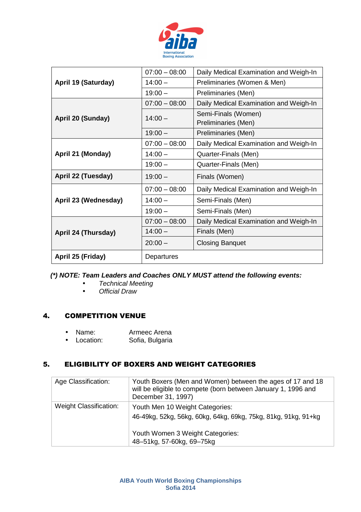

| April 19 (Saturday)  | $07:00 - 08:00$ | Daily Medical Examination and Weigh-In     |
|----------------------|-----------------|--------------------------------------------|
|                      | $14:00 -$       | Preliminaries (Women & Men)                |
|                      | $19:00 -$       | Preliminaries (Men)                        |
| April 20 (Sunday)    | $07:00 - 08:00$ | Daily Medical Examination and Weigh-In     |
|                      | $14:00 -$       | Semi-Finals (Women)<br>Preliminaries (Men) |
|                      | $19:00 -$       | Preliminaries (Men)                        |
| April 21 (Monday)    | $07:00 - 08:00$ | Daily Medical Examination and Weigh-In     |
|                      | $14:00 -$       | Quarter-Finals (Men)                       |
|                      | $19:00 -$       | Quarter-Finals (Men)                       |
| April 22 (Tuesday)   | $19:00 -$       | Finals (Women)                             |
| April 23 (Wednesday) | $07:00 - 08:00$ | Daily Medical Examination and Weigh-In     |
|                      | $14:00 -$       | Semi-Finals (Men)                          |
|                      | $19:00 -$       | Semi-Finals (Men)                          |
| April 24 (Thursday)  | $07:00 - 08:00$ | Daily Medical Examination and Weigh-In     |
|                      | $14:00 -$       | Finals (Men)                               |
|                      | $20:00 -$       | <b>Closing Banquet</b>                     |
| April 25 (Friday)    | Departures      |                                            |

# **(\*) NOTE: Team Leaders and Coaches ONLY MUST attend the following events:**

- Technical Meeting
- Official Draw

# 4. COMPETITION VENUE

- Name: Armeec Arena
- Location: Sofia, Bulgaria

# 5. ELIGIBILITY OF BOXERS AND WEIGHT CATEGORIES

| Age Classification:           | Youth Boxers (Men and Women) between the ages of 17 and 18<br>will be eligible to compete (born between January 1, 1996 and<br>December 31, 1997)                  |
|-------------------------------|--------------------------------------------------------------------------------------------------------------------------------------------------------------------|
| <b>Weight Classification:</b> | Youth Men 10 Weight Categories:<br>46-49kg, 52kg, 56kg, 60kg, 64kg, 69kg, 75kg, 81kg, 91kg, 91+kg<br>Youth Women 3 Weight Categories:<br>48-51kg, 57-60kg, 69-75kg |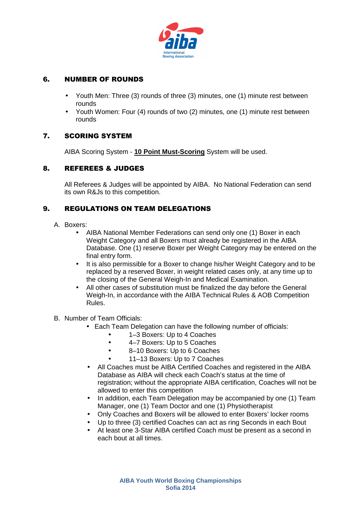

# 6. NUMBER OF ROUNDS

- Youth Men: Three (3) rounds of three (3) minutes, one (1) minute rest between rounds
- Youth Women: Four (4) rounds of two (2) minutes, one (1) minute rest between rounds

# 7. SCORING SYSTEM

AIBA Scoring System - **10 Point Must-Scoring** System will be used.

# 8. REFEREES & JUDGES

All Referees & Judges will be appointed by AIBA. No National Federation can send its own R&Js to this competition.

# 9. REGULATIONS ON TEAM DELEGATIONS

- A. Boxers:
	- AIBA National Member Federations can send only one (1) Boxer in each Weight Category and all Boxers must already be registered in the AIBA Database. One (1) reserve Boxer per Weight Category may be entered on the final entry form.
	- It is also permissible for a Boxer to change his/her Weight Category and to be replaced by a reserved Boxer, in weight related cases only, at any time up to the closing of the General Weigh-In and Medical Examination.
	- All other cases of substitution must be finalized the day before the General Weigh-In, in accordance with the AIBA Technical Rules & AOB Competition Rules.
- B. Number of Team Officials:
	- Each Team Delegation can have the following number of officials:
		- 1–3 Boxers: Up to 4 Coaches
		- 4–7 Boxers: Up to 5 Coaches
		- 8–10 Boxers: Up to 6 Coaches
		- 11–13 Boxers: Up to 7 Coaches
	- All Coaches must be AIBA Certified Coaches and registered in the AIBA Database as AIBA will check each Coach's status at the time of registration; without the appropriate AIBA certification, Coaches will not be allowed to enter this competition
	- In addition, each Team Delegation may be accompanied by one (1) Team Manager, one (1) Team Doctor and one (1) Physiotherapist
	- Only Coaches and Boxers will be allowed to enter Boxers' locker rooms
	- Up to three (3) certified Coaches can act as ring Seconds in each Bout
	- At least one 3-Star AIBA certified Coach must be present as a second in each bout at all times.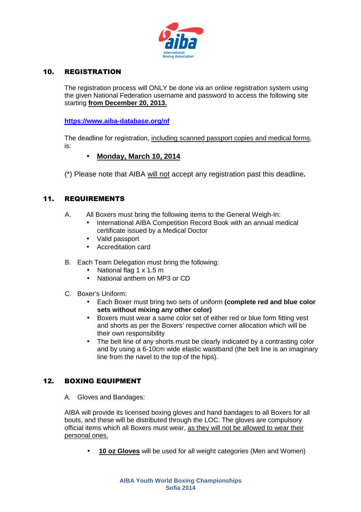

# 10. REGISTRATION

The registration process will ONLY be done via an online registration system using the given National Federation username and password to access the following site starting **from December 20, 2013.**

**https://www.aiba-database.org/nf**

The deadline for registration, including scanned passport copies and medical forms, is:

# • **Monday, March 10, 2014**

(\*) Please note that AIBA will not accept any registration past this deadline**.** 

# 11. REQUIREMENTS

- A. All Boxers must bring the following items to the General Weigh-In:
	- International AIBA Competition Record Book with an annual medical certificate issued by a Medical Doctor
	- Valid passport
	- Accreditation card
- B. Each Team Delegation must bring the following:
	- National flag 1 x 1.5 m
	- National anthem on MP3 or CD
- C. Boxer's Uniform:
	- Each Boxer must bring two sets of uniform **(complete red and blue color sets without mixing any other color)**
	- Boxers must wear a same color set of either red or blue form fitting vest and shorts as per the Boxers' respective corner allocation which will be their own responsibility
	- The belt line of any shorts must be clearly indicated by a contrasting color and by using a 6-10cm wide elastic waistband (the belt line is an imaginary line from the navel to the top of the hips).

# 12. BOXING EQUIPMENT

A. Gloves and Bandages:

AIBA will provide its licensed boxing gloves and hand bandages to all Boxers for all bouts, and these will be distributed through the LOC. The gloves are compulsory official items which all Boxers must wear, as they will not be allowed to wear their personal ones.

• **10 oz Gloves** will be used for all weight categories (Men and Women)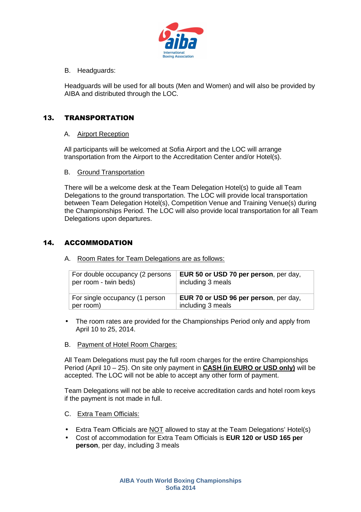

B. Headguards:

Headguards will be used for all bouts (Men and Women) and will also be provided by AIBA and distributed through the LOC.

# 13. TRANSPORTATION

#### A. Airport Reception

All participants will be welcomed at Sofia Airport and the LOC will arrange transportation from the Airport to the Accreditation Center and/or Hotel(s).

#### B. Ground Transportation

There will be a welcome desk at the Team Delegation Hotel(s) to guide all Team Delegations to the ground transportation. The LOC will provide local transportation between Team Delegation Hotel(s), Competition Venue and Training Venue(s) during the Championships Period. The LOC will also provide local transportation for all Team Delegations upon departures.

# 14. ACCOMMODATION

A. Room Rates for Team Delegations are as follows:

| For double occupancy (2 persons | <b>EUR 50 or USD 70 per person</b> , per day, |
|---------------------------------|-----------------------------------------------|
| per room - twin beds)           | including 3 meals                             |
| For single occupancy (1 person  | EUR 70 or USD 96 per person, per day,         |
| per room)                       | including 3 meals                             |

- The room rates are provided for the Championships Period only and apply from April 10 to 25, 2014.
- B. Payment of Hotel Room Charges:

All Team Delegations must pay the full room charges for the entire Championships Period (April 10 – 25). On site only payment in **CASH (in EURO or USD only)** will be accepted. The LOC will not be able to accept any other form of payment.

Team Delegations will not be able to receive accreditation cards and hotel room keys if the payment is not made in full.

- C. Extra Team Officials:
- Extra Team Officials are **NOT** allowed to stay at the Team Delegations' Hotel(s)
- Cost of accommodation for Extra Team Officials is **EUR 120 or USD 165 per person**, per day, including 3 meals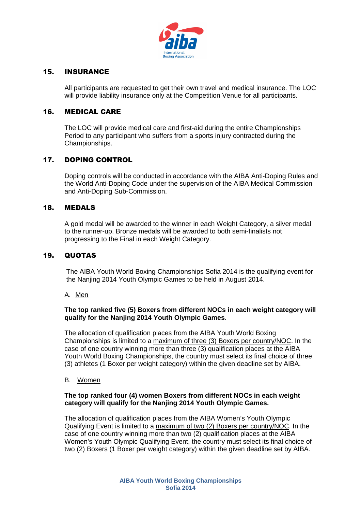

#### 15. INSURANCE

All participants are requested to get their own travel and medical insurance. The LOC will provide liability insurance only at the Competition Venue for all participants.

#### 16. MEDICAL CARE

The LOC will provide medical care and first-aid during the entire Championships Period to any participant who suffers from a sports injury contracted during the Championships.

#### 17. DOPING CONTROL

Doping controls will be conducted in accordance with the AIBA Anti-Doping Rules and the World Anti-Doping Code under the supervision of the AIBA Medical Commission and Anti-Doping Sub-Commission.

#### 18. MEDALS

A gold medal will be awarded to the winner in each Weight Category, a silver medal to the runner-up. Bronze medals will be awarded to both semi-finalists not progressing to the Final in each Weight Category.

#### 19. QUOTAS

The AIBA Youth World Boxing Championships Sofia 2014 is the qualifying event for the Nanjing 2014 Youth Olympic Games to be held in August 2014.

#### A. Men

#### **The top ranked five (5) Boxers from different NOCs in each weight category will qualify for the Nanjing 2014 Youth Olympic Games**.

The allocation of qualification places from the AIBA Youth World Boxing Championships is limited to a maximum of three (3) Boxers per country/NOC. In the case of one country winning more than three (3) qualification places at the AIBA Youth World Boxing Championships, the country must select its final choice of three (3) athletes (1 Boxer per weight category) within the given deadline set by AIBA.

#### B. Women

#### **The top ranked four (4) women Boxers from different NOCs in each weight category will qualify for the Nanjing 2014 Youth Olympic Games.**

The allocation of qualification places from the AIBA Women's Youth Olympic Qualifying Event is limited to a maximum of two (2) Boxers per country/NOC. In the case of one country winning more than two (2) qualification places at the AIBA Women's Youth Olympic Qualifying Event, the country must select its final choice of two (2) Boxers (1 Boxer per weight category) within the given deadline set by AIBA.